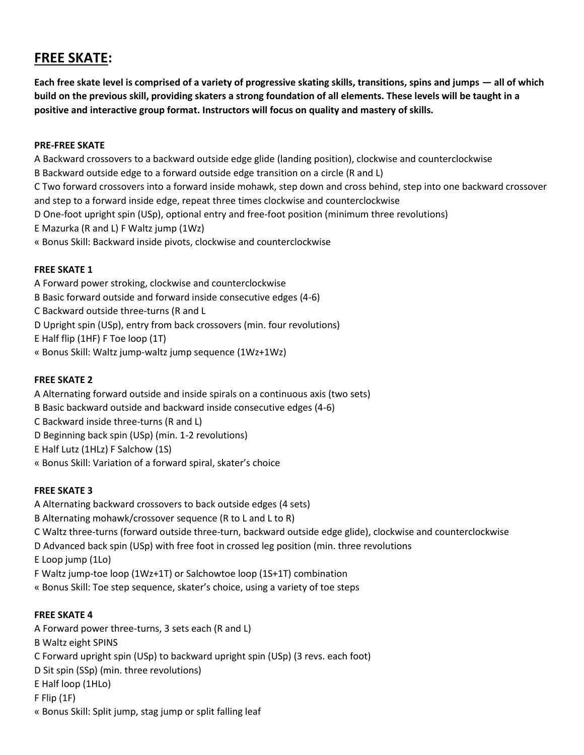# **FREE SKATE:**

**Each free skate level is comprised of a variety of progressive skating skills, transitions, spins and jumps — all of which build on the previous skill, providing skaters a strong foundation of all elements. These levels will be taught in a positive and interactive group format. Instructors will focus on quality and mastery of skills.** 

### **PRE-FREE SKATE**

A Backward crossovers to a backward outside edge glide (landing position), clockwise and counterclockwise B Backward outside edge to a forward outside edge transition on a circle (R and L) C Two forward crossovers into a forward inside mohawk, step down and cross behind, step into one backward crossover and step to a forward inside edge, repeat three times clockwise and counterclockwise D One-foot upright spin (USp), optional entry and free-foot position (minimum three revolutions) E Mazurka (R and L) F Waltz jump (1Wz) « Bonus Skill: Backward inside pivots, clockwise and counterclockwise

## **FREE SKATE 1**

A Forward power stroking, clockwise and counterclockwise B Basic forward outside and forward inside consecutive edges (4-6) C Backward outside three-turns (R and L D Upright spin (USp), entry from back crossovers (min. four revolutions) E Half flip (1HF) F Toe loop (1T) « Bonus Skill: Waltz jump-waltz jump sequence (1Wz+1Wz)

## **FREE SKATE 2**

A Alternating forward outside and inside spirals on a continuous axis (two sets) B Basic backward outside and backward inside consecutive edges (4-6) C Backward inside three-turns (R and L) D Beginning back spin (USp) (min. 1-2 revolutions) E Half Lutz (1HLz) F Salchow (1S) « Bonus Skill: Variation of a forward spiral, skater's choice

## **FREE SKATE 3**

A Alternating backward crossovers to back outside edges (4 sets) B Alternating mohawk/crossover sequence (R to L and L to R) C Waltz three-turns (forward outside three-turn, backward outside edge glide), clockwise and counterclockwise D Advanced back spin (USp) with free foot in crossed leg position (min. three revolutions E Loop jump (1Lo) F Waltz jump-toe loop (1Wz+1T) or Salchowtoe loop (1S+1T) combination « Bonus Skill: Toe step sequence, skater's choice, using a variety of toe steps

## **FREE SKATE 4**

A Forward power three-turns, 3 sets each (R and L) B Waltz eight SPINS C Forward upright spin (USp) to backward upright spin (USp) (3 revs. each foot) D Sit spin (SSp) (min. three revolutions) E Half loop (1HLo) F Flip (1F) « Bonus Skill: Split jump, stag jump or split falling leaf